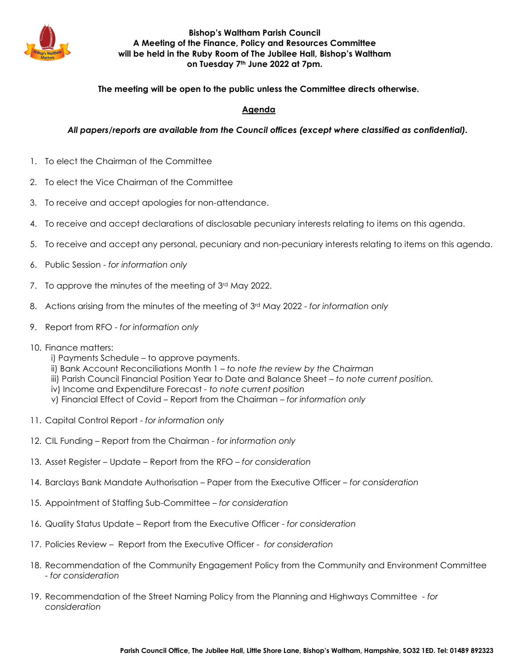

## **Bishop's Waltham Parish Council A Meeting of the Finance, Policy and Resources Committee will be held in the Ruby Room of The Jubilee Hall, Bishop's Waltham on Tuesday 7th June 2022 at 7pm.**

## **The meeting will be open to the public unless the Committee directs otherwise.**

## **Agenda**

*All papers/reports are available from the Council offices (except where classified as confidential).*

- 1. To elect the Chairman of the Committee
- 2. To elect the Vice Chairman of the Committee
- 3. To receive and accept apologies for non-attendance.
- 4. To receive and accept declarations of disclosable pecuniary interests relating to items on this agenda.
- 5. To receive and accept any personal, pecuniary and non-pecuniary interests relating to items on this agenda.
- 6. Public Session *for information only*
- 7. To approve the minutes of the meeting of 3rd May 2022.
- 8. Actions arising from the minutes of the meeting of 3rd May 2022 *for information only*
- 9. Report from RFO *for information only*
- 10. Finance matters:
	- i) Payments Schedule to approve payments.
	- ii) Bank Account Reconciliations Month 1 *to note the review by the Chairman*
	- iii) Parish Council Financial Position Year to Date and Balance Sheet *to note current position.*
	- iv) Income and Expenditure Forecast *- to note current position*
	- v) Financial Effect of Covid Report from the Chairman *for information only*
- 11. Capital Control Report *for information only*
- 12. CIL Funding Report from the Chairman *for information only*
- 13. Asset Register Update Report from the RFO *for consideration*
- 14. Barclays Bank Mandate Authorisation Paper from the Executive Officer *– for consideration*
- 15. Appointment of Staffing Sub-Committee *– for consideration*
- 16. Quality Status Update *–* Report from the Executive Officer *for consideration*
- 17. Policies Review *–* Report from the Executive Officer *for consideration*
- 18. Recommendation of the Community Engagement Policy from the Community and Environment Committee *- for consideration*
- 19. Recommendation of the Street Naming Policy from the Planning and Highways Committee *for consideration*